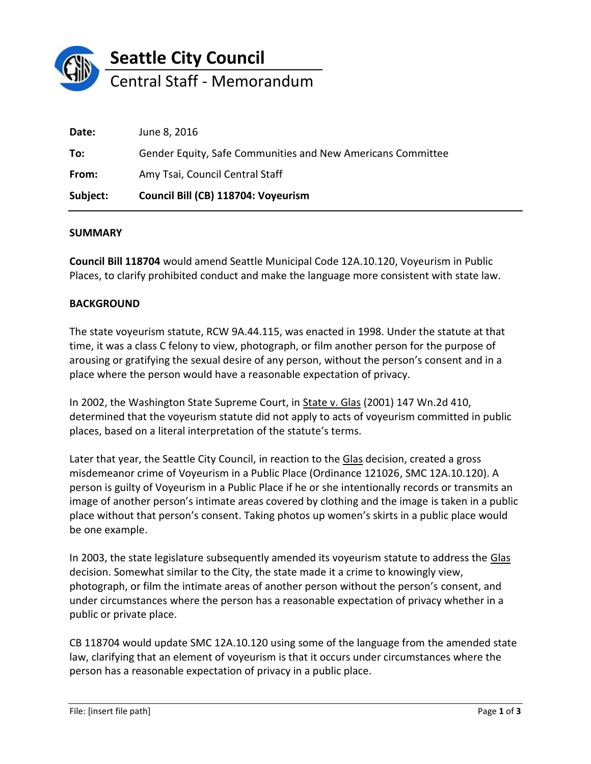

| Subject: | Council Bill (CB) 118704: Voyeurism                         |
|----------|-------------------------------------------------------------|
| From:    | Amy Tsai, Council Central Staff                             |
| To:      | Gender Equity, Safe Communities and New Americans Committee |
| Date:    | June 8, 2016                                                |

## **SUMMARY**

**Council Bill 118704** would amend Seattle Municipal Code 12A.10.120, Voyeurism in Public Places, to clarify prohibited conduct and make the language more consistent with state law.

## **BACKGROUND**

The state voyeurism statute, RCW 9A.44.115, was enacted in 1998. Under the statute at that time, it was a class C felony to view, photograph, or film another person for the purpose of arousing or gratifying the sexual desire of any person, without the person's consent and in a place where the person would have a reasonable expectation of privacy.

In 2002, the Washington State Supreme Court, in State v. Glas (2001) 147 Wn.2d 410, determined that the voyeurism statute did not apply to acts of voyeurism committed in public places, based on a literal interpretation of the statute's terms.

Later that year, the Seattle City Council, in reaction to the Glas decision, created a gross misdemeanor crime of Voyeurism in a Public Place (Ordinance 121026, SMC 12A.10.120). A person is guilty of Voyeurism in a Public Place if he or she intentionally records or transmits an image of another person's intimate areas covered by clothing and the image is taken in a public place without that person's consent. Taking photos up women's skirts in a public place would be one example.

In 2003, the state legislature subsequently amended its voyeurism statute to address the Glas decision. Somewhat similar to the City, the state made it a crime to knowingly view, photograph, or film the intimate areas of another person without the person's consent, and under circumstances where the person has a reasonable expectation of privacy whether in a public or private place.

CB 118704 would update SMC 12A.10.120 using some of the language from the amended state law, clarifying that an element of voyeurism is that it occurs under circumstances where the person has a reasonable expectation of privacy in a public place.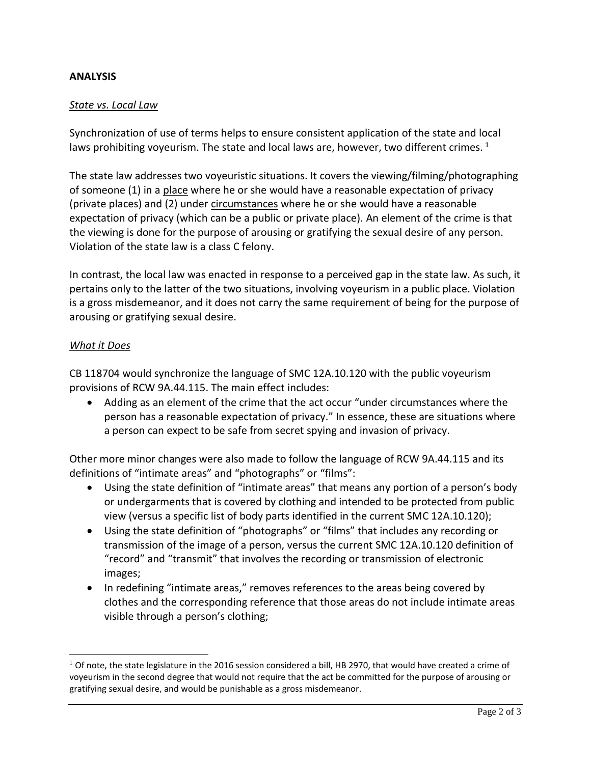## **ANALYSIS**

## *State vs. Local Law*

Synchronization of use of terms helps to ensure consistent application of the state and local laws prohibiting voyeurism. The state and local laws are, however, two different crimes.  $1$ 

The state law addresses two voyeuristic situations. It covers the viewing/filming/photographing of someone (1) in a place where he or she would have a reasonable expectation of privacy (private places) and (2) under circumstances where he or she would have a reasonable expectation of privacy (which can be a public or private place). An element of the crime is that the viewing is done for the purpose of arousing or gratifying the sexual desire of any person. Violation of the state law is a class C felony.

In contrast, the local law was enacted in response to a perceived gap in the state law. As such, it pertains only to the latter of the two situations, involving voyeurism in a public place. Violation is a gross misdemeanor, and it does not carry the same requirement of being for the purpose of arousing or gratifying sexual desire.

## *What it Does*

 $\overline{a}$ 

CB 118704 would synchronize the language of SMC 12A.10.120 with the public voyeurism provisions of RCW 9A.44.115. The main effect includes:

 Adding as an element of the crime that the act occur "under circumstances where the person has a reasonable expectation of privacy." In essence, these are situations where a person can expect to be safe from secret spying and invasion of privacy.

Other more minor changes were also made to follow the language of RCW 9A.44.115 and its definitions of "intimate areas" and "photographs" or "films":

- Using the state definition of "intimate areas" that means any portion of a person's body or undergarments that is covered by clothing and intended to be protected from public view (versus a specific list of body parts identified in the current SMC 12A.10.120);
- Using the state definition of "photographs" or "films" that includes any recording or transmission of the image of a person, versus the current SMC 12A.10.120 definition of "record" and "transmit" that involves the recording or transmission of electronic images;
- In redefining "intimate areas," removes references to the areas being covered by clothes and the corresponding reference that those areas do not include intimate areas visible through a person's clothing;

 $1$  Of note, the state legislature in the 2016 session considered a bill, HB 2970, that would have created a crime of voyeurism in the second degree that would not require that the act be committed for the purpose of arousing or gratifying sexual desire, and would be punishable as a gross misdemeanor.